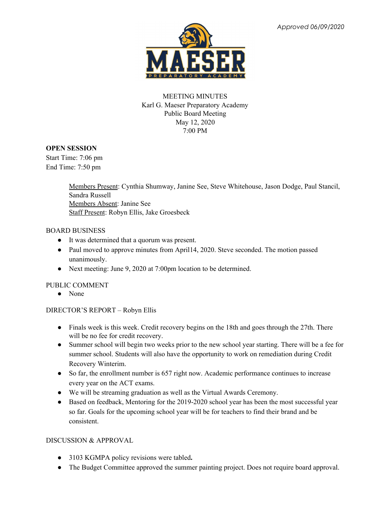

# MEETING MINUTES Karl G. Maeser Preparatory Academy Public Board Meeting May 12, 2020 7:00 PM

### **OPEN SESSION**

Start Time: 7:06 pm End Time: 7:50 pm

> Members Present: Cynthia Shumway, Janine See, Steve Whitehouse, Jason Dodge, Paul Stancil, Sandra Russell Members Absent: Janine See Staff Present: Robyn Ellis, Jake Groesbeck

### BOARD BUSINESS

- It was determined that a quorum was present.
- Paul moved to approve minutes from April14, 2020. Steve seconded. The motion passed unanimously.
- Next meeting: June 9, 2020 at 7:00pm location to be determined.

## PUBLIC COMMENT

● None

## DIRECTOR'S REPORT – Robyn Ellis

- Finals week is this week. Credit recovery begins on the 18th and goes through the 27th. There will be no fee for credit recovery.
- Summer school will begin two weeks prior to the new school year starting. There will be a fee for summer school. Students will also have the opportunity to work on remediation during Credit Recovery Winterim.
- So far, the enrollment number is 657 right now. Academic performance continues to increase every year on the ACT exams.
- We will be streaming graduation as well as the Virtual Awards Ceremony.
- Based on feedback, Mentoring for the 2019-2020 school year has been the most successful year so far. Goals for the upcoming school year will be for teachers to find their brand and be consistent.

## DISCUSSION & APPROVAL

- 3103 KGMPA policy revisions were tabled**.**
- The Budget Committee approved the summer painting project. Does not require board approval.